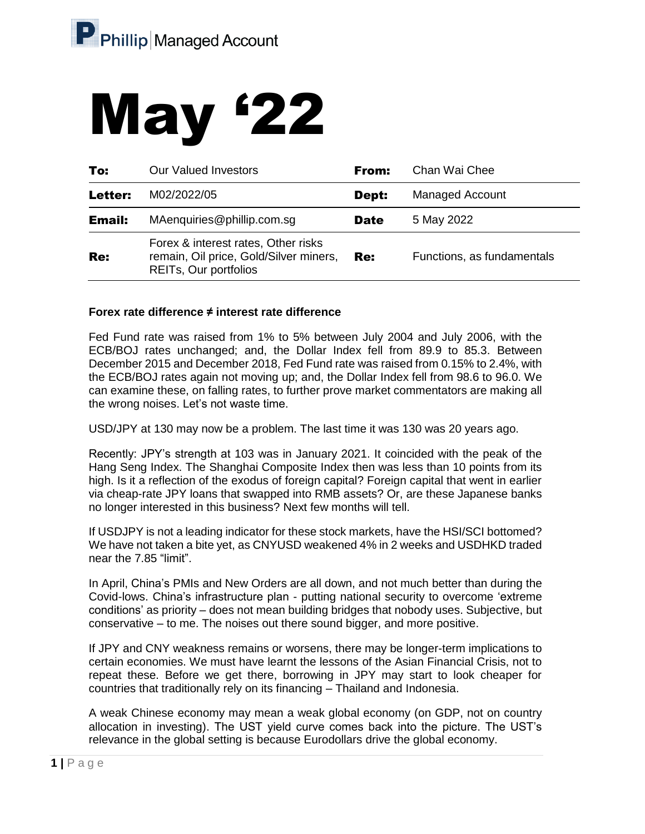# May '22

| To:           | <b>Our Valued Investors</b>                                                                                   | From:       | Chan Wai Chee              |
|---------------|---------------------------------------------------------------------------------------------------------------|-------------|----------------------------|
| Letter:       | M02/2022/05                                                                                                   | Dept:       | <b>Managed Account</b>     |
| <b>Email:</b> | MAenquiries@phillip.com.sg                                                                                    | <b>Date</b> | 5 May 2022                 |
| Re:           | Forex & interest rates, Other risks<br>remain, Oil price, Gold/Silver miners,<br><b>REITs, Our portfolios</b> | Re:         | Functions, as fundamentals |

## **Forex rate difference ≠ interest rate difference**

Fed Fund rate was raised from 1% to 5% between July 2004 and July 2006, with the ECB/BOJ rates unchanged; and, the Dollar Index fell from 89.9 to 85.3. Between December 2015 and December 2018, Fed Fund rate was raised from 0.15% to 2.4%, with the ECB/BOJ rates again not moving up; and, the Dollar Index fell from 98.6 to 96.0. We can examine these, on falling rates, to further prove market commentators are making all the wrong noises. Let's not waste time.

USD/JPY at 130 may now be a problem. The last time it was 130 was 20 years ago.

Recently: JPY's strength at 103 was in January 2021. It coincided with the peak of the Hang Seng Index. The Shanghai Composite Index then was less than 10 points from its high. Is it a reflection of the exodus of foreign capital? Foreign capital that went in earlier via cheap-rate JPY loans that swapped into RMB assets? Or, are these Japanese banks no longer interested in this business? Next few months will tell.

If USDJPY is not a leading indicator for these stock markets, have the HSI/SCI bottomed? We have not taken a bite yet, as CNYUSD weakened 4% in 2 weeks and USDHKD traded near the 7.85 "limit".

In April, China's PMIs and New Orders are all down, and not much better than during the Covid-lows. China's infrastructure plan - putting national security to overcome 'extreme conditions' as priority – does not mean building bridges that nobody uses. Subjective, but conservative – to me. The noises out there sound bigger, and more positive.

If JPY and CNY weakness remains or worsens, there may be longer-term implications to certain economies. We must have learnt the lessons of the Asian Financial Crisis, not to repeat these. Before we get there, borrowing in JPY may start to look cheaper for countries that traditionally rely on its financing – Thailand and Indonesia.

A weak Chinese economy may mean a weak global economy (on GDP, not on country allocation in investing). The UST yield curve comes back into the picture. The UST's relevance in the global setting is because Eurodollars drive the global economy.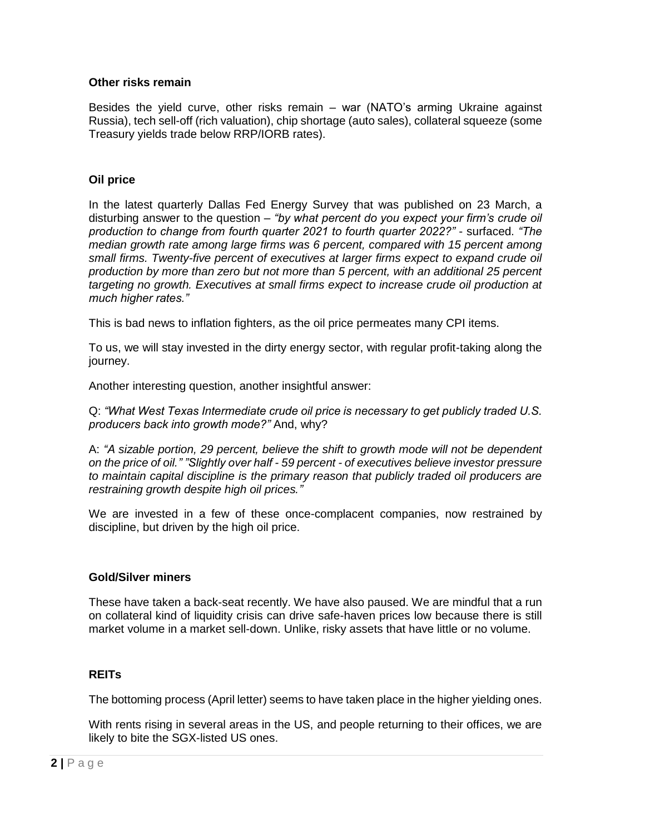## **Other risks remain**

Besides the yield curve, other risks remain – war (NATO's arming Ukraine against Russia), tech sell-off (rich valuation), chip shortage (auto sales), collateral squeeze (some Treasury yields trade below RRP/IORB rates).

## **Oil price**

In the latest quarterly Dallas Fed Energy Survey that was published on 23 March, a disturbing answer to the question – *"by what percent do you expect your firm's crude oil production to change from fourth quarter 2021 to fourth quarter 2022?"* - surfaced. *"The median growth rate among large firms was 6 percent, compared with 15 percent among small firms. Twenty-five percent of executives at larger firms expect to expand crude oil production by more than zero but not more than 5 percent, with an additional 25 percent targeting no growth. Executives at small firms expect to increase crude oil production at much higher rates."*

This is bad news to inflation fighters, as the oil price permeates many CPI items.

To us, we will stay invested in the dirty energy sector, with regular profit-taking along the journey.

Another interesting question, another insightful answer:

Q: *"What West Texas Intermediate crude oil price is necessary to get publicly traded U.S. producers back into growth mode?"* And, why?

A: *"A sizable portion, 29 percent, believe the shift to growth mode will not be dependent on the price of oil." "Slightly over half - 59 percent - of executives believe investor pressure to maintain capital discipline is the primary reason that publicly traded oil producers are restraining growth despite high oil prices."*

We are invested in a few of these once-complacent companies, now restrained by discipline, but driven by the high oil price.

#### **Gold/Silver miners**

These have taken a back-seat recently. We have also paused. We are mindful that a run on collateral kind of liquidity crisis can drive safe-haven prices low because there is still market volume in a market sell-down. Unlike, risky assets that have little or no volume.

## **REITs**

The bottoming process (April letter) seems to have taken place in the higher yielding ones.

With rents rising in several areas in the US, and people returning to their offices, we are likely to bite the SGX-listed US ones.